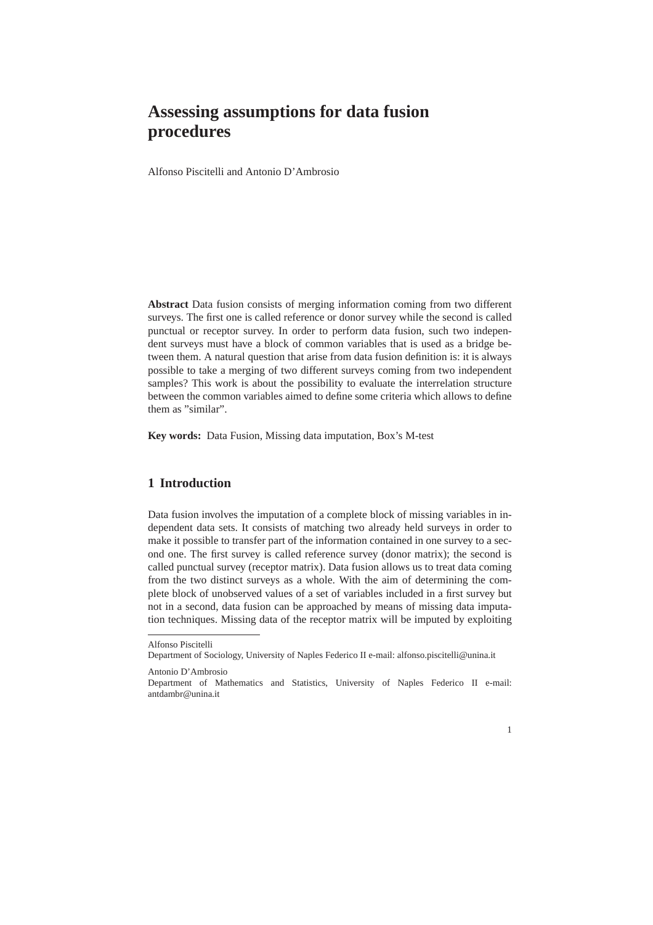## **Assessing assumptions for data fusion procedures**

Alfonso Piscitelli and Antonio D'Ambrosio

**Abstract** Data fusion consists of merging information coming from two different surveys. The first one is called reference or donor survey while the second is called punctual or receptor survey. In order to perform data fusion, such two independent surveys must have a block of common variables that is used as a bridge between them. A natural question that arise from data fusion definition is: it is always possible to take a merging of two different surveys coming from two independent samples? This work is about the possibility to evaluate the interrelation structure between the common variables aimed to define some criteria which allows to define them as "similar".

**Key words:** Data Fusion, Missing data imputation, Box's M-test

## **1 Introduction**

Data fusion involves the imputation of a complete block of missing variables in independent data sets. It consists of matching two already held surveys in order to make it possible to transfer part of the information contained in one survey to a second one. The first survey is called reference survey (donor matrix); the second is called punctual survey (receptor matrix). Data fusion allows us to treat data coming from the two distinct surveys as a whole. With the aim of determining the complete block of unobserved values of a set of variables included in a first survey but not in a second, data fusion can be approached by means of missing data imputation techniques. Missing data of the receptor matrix will be imputed by exploiting

Department of Mathematics and Statistics, University of Naples Federico II e-mail: antdambr@unina.it



Alfonso Piscitelli

Department of Sociology, University of Naples Federico II e-mail: alfonso.piscitelli@unina.it

Antonio D'Ambrosio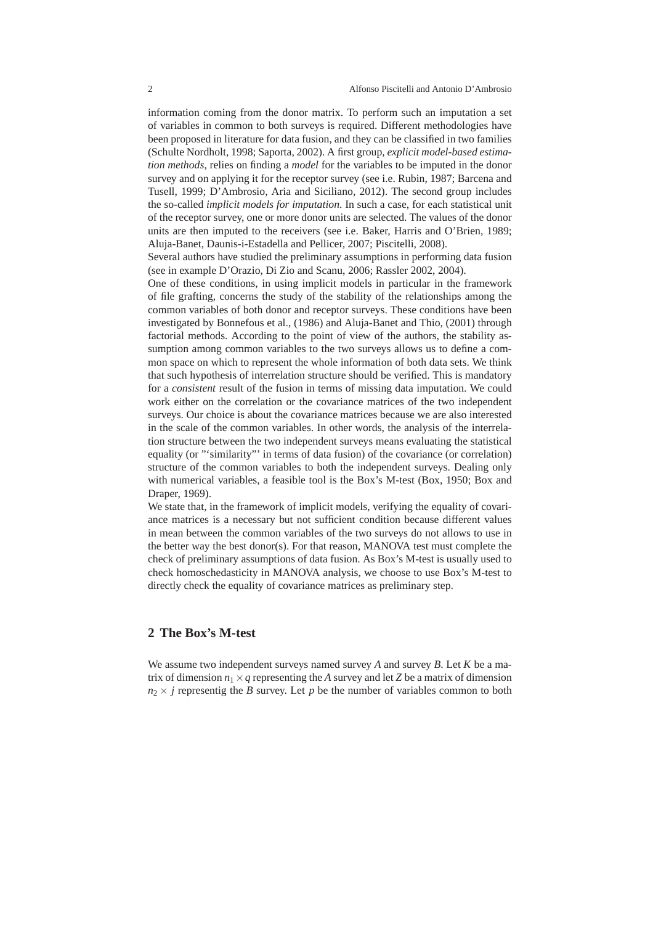information coming from the donor matrix. To perform such an imputation a set of variables in common to both surveys is required. Different methodologies have been proposed in literature for data fusion, and they can be classified in two families (Schulte Nordholt, 1998; Saporta, 2002). A first group, *explicit model-based estimation methods*, relies on finding a *model* for the variables to be imputed in the donor survey and on applying it for the receptor survey (see i.e. Rubin, 1987; Barcena and Tusell, 1999; D'Ambrosio, Aria and Siciliano, 2012). The second group includes the so-called *implicit models for imputation*. In such a case, for each statistical unit of the receptor survey, one or more donor units are selected. The values of the donor units are then imputed to the receivers (see i.e. Baker, Harris and O'Brien, 1989; Aluja-Banet, Daunis-i-Estadella and Pellicer, 2007; Piscitelli, 2008).

Several authors have studied the preliminary assumptions in performing data fusion (see in example D'Orazio, Di Zio and Scanu, 2006; Rassler 2002, 2004).

One of these conditions, in using implicit models in particular in the framework of file grafting, concerns the study of the stability of the relationships among the common variables of both donor and receptor surveys. These conditions have been investigated by Bonnefous et al., (1986) and Aluja-Banet and Thio, (2001) through factorial methods. According to the point of view of the authors, the stability assumption among common variables to the two surveys allows us to define a common space on which to represent the whole information of both data sets. We think that such hypothesis of interrelation structure should be verified. This is mandatory for a *consistent* result of the fusion in terms of missing data imputation. We could work either on the correlation or the covariance matrices of the two independent surveys. Our choice is about the covariance matrices because we are also interested in the scale of the common variables. In other words, the analysis of the interrelation structure between the two independent surveys means evaluating the statistical equality (or "'similarity"' in terms of data fusion) of the covariance (or correlation) structure of the common variables to both the independent surveys. Dealing only with numerical variables, a feasible tool is the Box's M-test (Box, 1950; Box and Draper, 1969).

We state that, in the framework of implicit models, verifying the equality of covariance matrices is a necessary but not sufficient condition because different values in mean between the common variables of the two surveys do not allows to use in the better way the best donor(s). For that reason, MANOVA test must complete the check of preliminary assumptions of data fusion. As Box's M-test is usually used to check homoschedasticity in MANOVA analysis, we choose to use Box's M-test to directly check the equality of covariance matrices as preliminary step.

## **2 The Box's M-test**

We assume two independent surveys named survey *A* and survey *B*. Let *K* be a matrix of dimension  $n_1 \times q$  representing the *A* survey and let *Z* be a matrix of dimension  $n_2 \times j$  representig the *B* survey. Let *p* be the number of variables common to both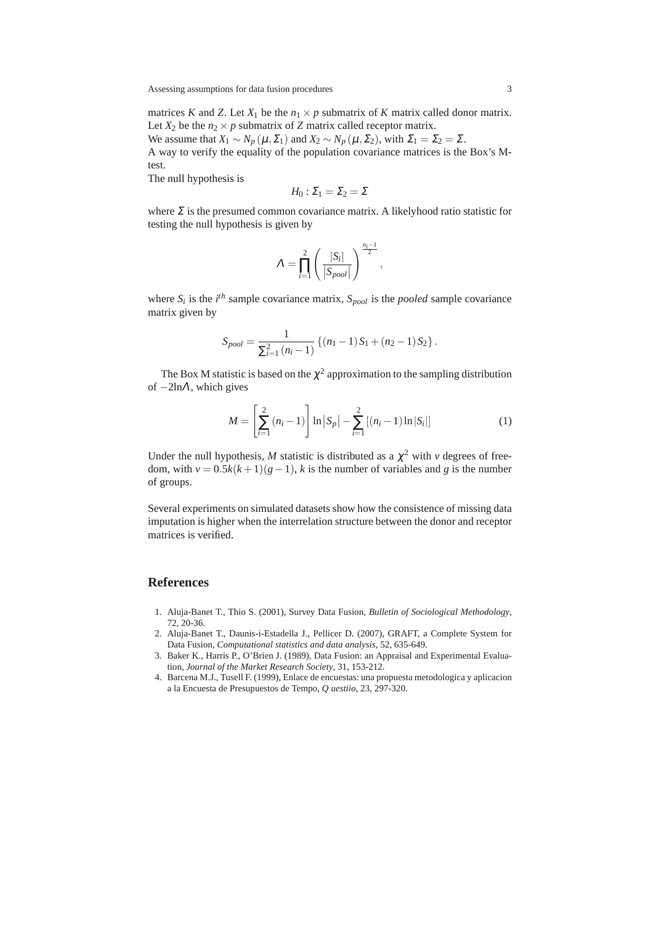Assessing assumptions for data fusion procedures 3

matrices *K* and *Z*. Let  $X_1$  be the  $n_1 \times p$  submatrix of *K* matrix called donor matrix. Let  $X_2$  be the  $n_2 \times p$  submatrix of *Z* matrix called receptor matrix.

We assume that  $X_1 \sim N_p(\mu, \Sigma_1)$  and  $X_2 \sim N_p(\mu, \Sigma_2)$ , with  $\Sigma_1 = \Sigma_2 = \Sigma$ . A way to verify the equality of the population covariance matrices is the Box's Mtest.

The null hypothesis is

$$
H_0: \Sigma_1 = \Sigma_2 = \Sigma
$$

where  $\Sigma$  is the presumed common covariance matrix. A likelyhood ratio statistic for testing the null hypothesis is given by

$$
\Lambda = \prod_{i=1}^{2} \left( \frac{|S_i|}{|S_{pool}|} \right)^{\frac{n_i-1}{2}},
$$

where  $S_i$  is the  $i^{th}$  sample covariance matrix,  $S_{pool}$  is the *pooled* sample covariance matrix given by

$$
S_{pool} = \frac{1}{\sum_{i=1}^{2} (n_i - 1)} \left\{ (n_1 - 1) S_1 + (n_2 - 1) S_2 \right\}.
$$

The Box M statistic is based on the  $\chi^2$  approximation to the sampling distribution of  $-2\ln\Lambda$ , which gives

$$
M = \left[\sum_{i=1}^{2} (n_i - 1)\right] \ln |S_p| - \sum_{i=1}^{2} [(n_i - 1) \ln |S_i|]
$$
 (1)

Under the null hypothesis, *M* statistic is distributed as a  $\chi^2$  with *v* degrees of freedom, with  $v = 0.5k(k+1)(g-1)$ , *k* is the number of variables and *g* is the number of groups.

Several experiments on simulated datasets show how the consistence of missing data imputation is higher when the interrelation structure between the donor and receptor matrices is verified.

## **References**

- 1. Aluja-Banet T., Thio S. (2001), Survey Data Fusion, *Bulletin of Sociological Methodology*, 72, 20-36.
- 2. Aluja-Banet T., Daunis-i-Estadella J., Pellicer D. (2007), GRAFT, a Complete System for Data Fusion, *Computational statistics and data analysis*, 52, 635-649.
- 3. Baker K., Harris P., O'Brien J. (1989), Data Fusion: an Appraisal and Experimental Evaluation, *Journal of the Market Research Society*, 31, 153-212.
- 4. Barcena M.J., Tusell F. (1999), Enlace de encuestas: una propuesta metodologica y aplicacion a la Encuesta de Presupuestos de Tempo, *Q uestiio*, 23, 297-320.